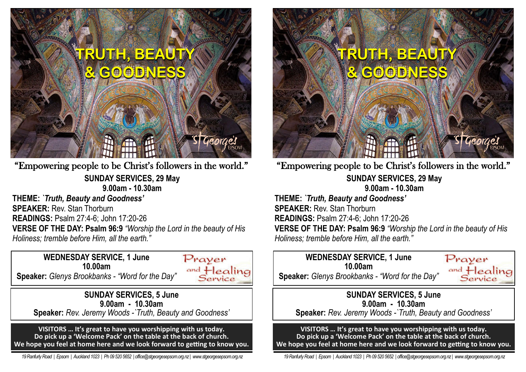

**SUNDAY SERVICES, 29 May 9.00am - 10.30am THEME:** *`Truth, Beauty and Goodness'* **SPEAKER:** Rev. Stan Thorburn **READINGS:** Psalm 27:4-6; John 17:20-26 **VERSE OF THE DAY: Psalm 96:9** *"Worship the Lord in the beauty of His Holiness; tremble before Him, all the earth."* "Empowering people to be Christ's followers in the world."

**WEDNESDAY SERVICE, 1 June 10.00am Speaker:** *Glenys Brookbanks - "Word for the Day"*



**SUNDAY SERVICES, 5 June 9.00am - 10.30am Speaker:** *Rev. Jeremy Woods -`Truth, Beauty and Goodness'*

**VISITORS … It's great to have you worshipping with us today. Do pick up a 'Welcome Pack' on the table at the back of church. We hope you feel at home here and we look forward to getting to know you.**

 *19 Ranfurly Road | Epsom | Auckland 1023 | Ph 09 520 5652 | office@stgeorgesepsom.org.nz | www.stgeorgesepsom.org.nz* 



**SUNDAY SERVICES, 29 May 9.00am - 10.30am THEME:** *`Truth, Beauty and Goodness'* **SPEAKER:** Rev. Stan Thorburn **READINGS:** Psalm 27:4-6; John 17:20-26 **VERSE OF THE DAY: Psalm 96:9** *"Worship the Lord in the beauty of His*  "Empowering people to be Christ's followers in the world."

# **WEDNESDAY SERVICE, 1 June 10.00am**

*Holiness; tremble before Him, all the earth."*



**Speaker:** *Glenys Brookbanks - "Word for the Day"*

### **SUNDAY SERVICES, 5 June 9.00am - 10.30am**

**Speaker:** *Rev. Jeremy Woods -`Truth, Beauty and Goodness'*

**VISITORS … It's great to have you worshipping with us today. Do pick up a 'Welcome Pack' on the table at the back of church. We hope you feel at home here and we look forward to getting to know you.**

 *19 Ranfurly Road | Epsom | Auckland 1023 | Ph 09 520 5652 | office@stgeorgesepsom.org.nz | www.stgeorgesepsom.org.nz*